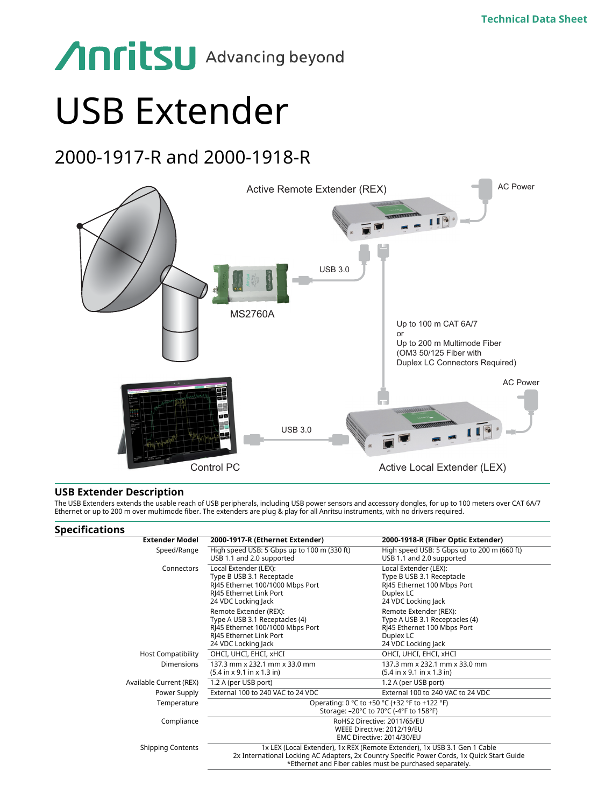# **Anritsu** Advancing beyond

## USB Extender

### 2000-1917-R and 2000-1918-R



#### **USB Extender Description**

The USB Extenders extends the usable reach of USB peripherals, including USB power sensors and accessory dongles, for up to 100 meters over CAT 6A/7 Ethernet or up to 200 m over multimode fiber. The extenders are plug & play for all Anritsu instruments, with no drivers required.

#### **Specifications**

| <b>Extender Model</b>     | 2000-1917-R (Ethernet Extender)                                                                                                                                                                                                      | 2000-1918-R (Fiber Optic Extender)                                                                                          |
|---------------------------|--------------------------------------------------------------------------------------------------------------------------------------------------------------------------------------------------------------------------------------|-----------------------------------------------------------------------------------------------------------------------------|
| Speed/Range               | High speed USB: 5 Gbps up to 100 m (330 ft)<br>USB 1.1 and 2.0 supported                                                                                                                                                             | High speed USB: 5 Gbps up to 200 m (660 ft)<br>USB 1.1 and 2.0 supported                                                    |
| Connectors                | Local Extender (LEX):<br>Type B USB 3.1 Receptacle<br>RI45 Ethernet 100/1000 Mbps Port<br>RJ45 Ethernet Link Port<br>24 VDC Locking Jack                                                                                             | Local Extender (LEX):<br>Type B USB 3.1 Receptacle<br>RJ45 Ethernet 100 Mbps Port<br>Duplex LC<br>24 VDC Locking Jack       |
|                           | Remote Extender (REX):<br>Type A USB 3.1 Receptacles (4)<br>RI45 Ethernet 100/1000 Mbps Port<br>RI45 Ethernet Link Port<br>24 VDC Locking Jack                                                                                       | Remote Extender (REX):<br>Type A USB 3.1 Receptacles (4)<br>RI45 Ethernet 100 Mbps Port<br>Duplex LC<br>24 VDC Locking Jack |
| <b>Host Compatibility</b> | OHCI, UHCI, EHCI, xHCI                                                                                                                                                                                                               | OHCI, UHCI, EHCI, xHCI                                                                                                      |
| Dimensions                | 137.3 mm x 232.1 mm x 33.0 mm<br>$(5.4 \text{ in } x 9.1 \text{ in } x 1.3 \text{ in})$                                                                                                                                              | 137.3 mm x 232.1 mm x 33.0 mm<br>$(5.4$ in x 9.1 in x 1.3 in)                                                               |
| Available Current (REX)   | 1.2 A (per USB port)                                                                                                                                                                                                                 | 1.2 A (per USB port)                                                                                                        |
| Power Supply              | External 100 to 240 VAC to 24 VDC                                                                                                                                                                                                    | External 100 to 240 VAC to 24 VDC                                                                                           |
| Temperature               | Operating: 0 °C to +50 °C (+32 °F to +122 °F)<br>Storage: -20°C to 70°C (-4°F to 158°F)                                                                                                                                              |                                                                                                                             |
| Compliance                | RoHS2 Directive: 2011/65/EU<br>WEEE Directive: 2012/19/EU<br>EMC Directive: 2014/30/EU                                                                                                                                               |                                                                                                                             |
| <b>Shipping Contents</b>  | 1x LEX (Local Extender), 1x REX (Remote Extender), 1x USB 3.1 Gen 1 Cable<br>2x International Locking AC Adapters, 2x Country Specific Power Cords, 1x Quick Start Guide<br>*Ethernet and Fiber cables must be purchased separately. |                                                                                                                             |